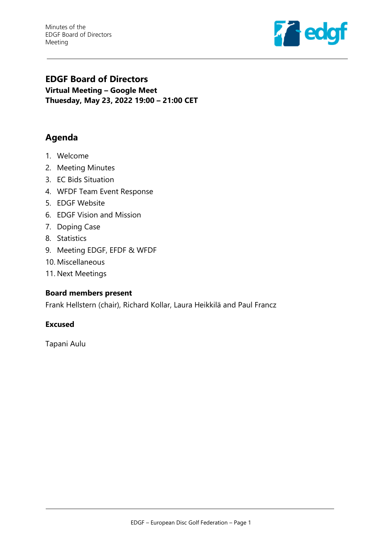Minutes of the EDGF Board of Directors Meeting



## **EDGF Board of Directors Virtual Meeting – Google Meet Thuesday, May 23, 2022 19:00 – 21:00 CET**

# **Agenda**

- 1. Welcome
- 2. Meeting Minutes
- 3. EC Bids Situation
- 4. WFDF Team Event Response
- 5. EDGF Website
- 6. EDGF Vision and Mission
- 7. Doping Case
- 8. Statistics
- 9. Meeting EDGF, EFDF & WFDF
- 10. Miscellaneous
- 11. Next Meetings

#### **Board members present**

Frank Hellstern (chair), Richard Kollar, Laura Heikkilä and Paul Francz

#### **Excused**

Tapani Aulu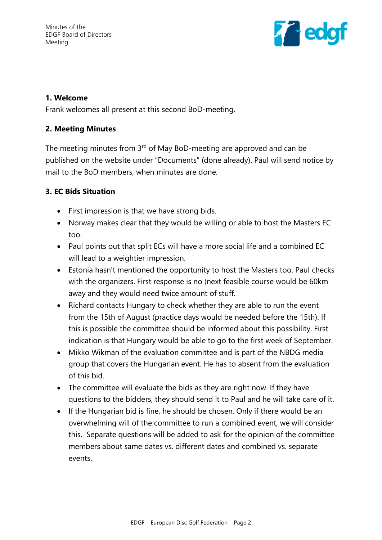

### **1. Welcome**

Frank welcomes all present at this second BoD-meeting.

## **2. Meeting Minutes**

The meeting minutes from 3<sup>rd</sup> of May BoD-meeting are approved and can be published on the website under "Documents" (done already). Paul will send notice by mail to the BoD members, when minutes are done.

## **3. EC Bids Situation**

- First impression is that we have strong bids.
- Norway makes clear that they would be willing or able to host the Masters EC too.
- Paul points out that split ECs will have a more social life and a combined EC will lead to a weightier impression.
- Estonia hasn't mentioned the opportunity to host the Masters too. Paul checks with the organizers. First response is no (next feasible course would be 60km away and they would need twice amount of stuff.
- Richard contacts Hungary to check whether they are able to run the event from the 15th of August (practice days would be needed before the 15th). If this is possible the committee should be informed about this possibility. First indication is that Hungary would be able to go to the first week of September.
- Mikko Wikman of the evaluation committee and is part of the NBDG media group that covers the Hungarian event. He has to absent from the evaluation of this bid.
- The committee will evaluate the bids as they are right now. If they have questions to the bidders, they should send it to Paul and he will take care of it.
- If the Hungarian bid is fine, he should be chosen. Only if there would be an overwhelming will of the committee to run a combined event, we will consider this. Separate questions will be added to ask for the opinion of the committee members about same dates vs. different dates and combined vs. separate events.